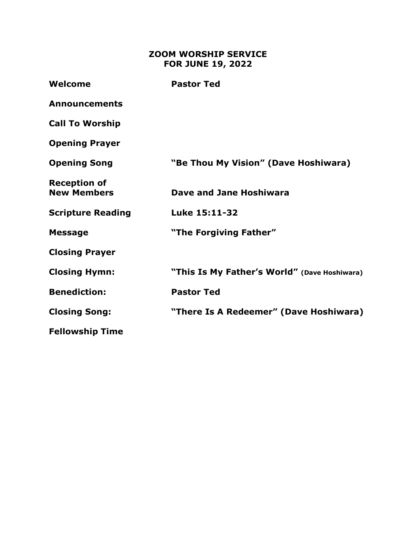## **ZOOM WORSHIP SERVICE FOR JUNE 19, 2022**

| Welcome                                   | <b>Pastor Ted</b>                            |
|-------------------------------------------|----------------------------------------------|
| <b>Announcements</b>                      |                                              |
| <b>Call To Worship</b>                    |                                              |
| <b>Opening Prayer</b>                     |                                              |
| <b>Opening Song</b>                       | "Be Thou My Vision" (Dave Hoshiwara)         |
| <b>Reception of</b><br><b>New Members</b> | Dave and Jane Hoshiwara                      |
| <b>Scripture Reading</b>                  | Luke 15:11-32                                |
| <b>Message</b>                            | "The Forgiving Father"                       |
| <b>Closing Prayer</b>                     |                                              |
| <b>Closing Hymn:</b>                      | "This Is My Father's World" (Dave Hoshiwara) |
| <b>Benediction:</b>                       | <b>Pastor Ted</b>                            |
| <b>Closing Song:</b>                      | "There Is A Redeemer" (Dave Hoshiwara)       |
| <b>Fellowship Time</b>                    |                                              |